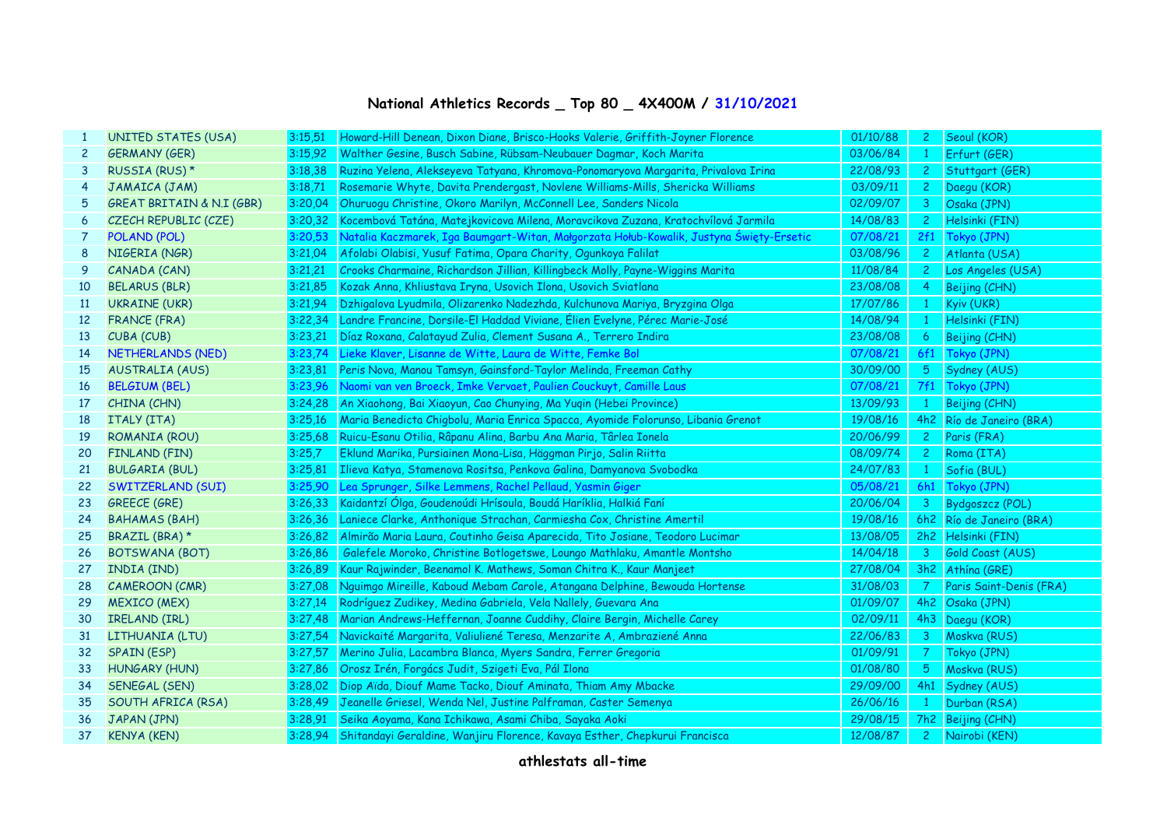## **National Athletics Records \_ Top 80 \_ 4X400M / 31/10/2021**

| 1               | <b>UNITED STATES (USA)</b>           | 3:15.51 | Howard-Hill Denean, Dixon Diane, Brisco-Hooks Valerie, Griffith-Joyner Florence         | 01/10/88 | $2^{\circ}$    | Seoul (KOR)              |
|-----------------|--------------------------------------|---------|-----------------------------------------------------------------------------------------|----------|----------------|--------------------------|
| $\mathbf{2}$    | <b>GERMANY (GER)</b>                 | 3:15.92 | Walther Gesine, Busch Sabine, Rübsam-Neubauer Dagmar, Koch Marita                       | 03/06/84 |                | Erfurt (GER)             |
| 3               | RUSSIA (RUS) *                       | 3:18,38 | Ruzina Yelena, Alekseyeva Tatyana, Khromova-Ponomaryova Margarita, Privalova Irina      | 22/08/93 | $2^{\circ}$    | Stuttgart (GER)          |
| 4               | JAMAICA (JAM)                        | 3:18,71 | Rosemarie Whyte, Davita Prendergast, Novlene Williams-Mills, Shericka Williams          | 03/09/11 | $\mathbf{2}$   | Daegu (KOR)              |
| 5               | <b>GREAT BRITAIN &amp; N.I (GBR)</b> | 3:20.04 | Ohuruogu Christine, Okoro Marilyn, McConnell Lee, Sanders Nicola                        | 02/09/07 | 3              | Osaka (JPN)              |
| 6               | CZECH REPUBLIC (CZE)                 | 3:20,32 | Kocembová Tatána, Matejkovicova Milena, Moravcikova Zuzana, Kratochvílová Jarmila       | 14/08/83 | $\mathbf{2}$   | Helsinki (FIN)           |
| 7               | POLAND (POL)                         | 3:20.53 | Natalia Kaczmarek, Iga Baumgart-Witan, Małgorzata Hołub-Kowalik, Justyna Święty-Ersetic | 07/08/21 | 2f1            | Tokyo (JPN)              |
| 8               | NIGERIA (NGR)                        | 3:21,04 | Afolabi Olabisi, Yusuf Fatima, Opara Charity, Ogunkoya Falilat                          | 03/08/96 | $2^{\circ}$    | Atlanta (USA)            |
| 9               | CANADA (CAN)                         | 3:21,21 | Crooks Charmaine, Richardson Jillian, Killingbeck Molly, Payne-Wiggins Marita           | 11/08/84 | $\mathbf{2}$   | Los Angeles (USA)        |
| 10              | <b>BELARUS (BLR)</b>                 | 3:21,85 | Kozak Anna, Khliustava Iryna, Usovich Ilona, Usovich Sviatlana                          | 23/08/08 | $\overline{4}$ | Beijing (CHN)            |
| 11              | <b>UKRAINE (UKR)</b>                 | 3:21,94 | Dzhigalova Lyudmila, Olizarenko Nadezhda, Kulchunova Mariya, Bryzgina Olga              | 17/07/86 |                | Kyiv (UKR)               |
| 12 <sup>2</sup> | <b>FRANCE (FRA)</b>                  | 3:22.34 | Landre Francine, Dorsile-El Haddad Viviane, Élien Evelyne, Pérec Marie-José             | 14/08/94 |                | Helsinki (FIN)           |
| 13              | CUBA (CUB)                           | 3:23.21 | Díaz Roxana, Calatayud Zulia, Clement Susana A., Terrero Indira                         | 23/08/08 | 6              | Beijing (CHN)            |
| 14              | NETHERLANDS (NED)                    | 3:23.74 | Lieke Klaver, Lisanne de Witte, Laura de Witte, Femke Bol                               | 07/08/21 | 6f1            | Tokyo (JPN)              |
| 15              | <b>AUSTRALIA (AUS)</b>               | 3:23.81 | Peris Nova, Manou Tamsyn, Gainsford-Taylor Melinda, Freeman Cathy                       | 30/09/00 | 5 <sub>o</sub> | Sydney (AUS)             |
| 16              | <b>BELGIUM (BEL)</b>                 | 3:23.96 | Naomi van ven Broeck, Imke Vervaet, Paulien Couckuyt, Camille Laus                      | 07/08/21 | 7f1            | Tokyo (JPN)              |
| 17              | CHINA (CHN)                          | 3:24.28 | An Xiaohong, Bai Xiaoyun, Cao Chunying, Ma Yuqin (Hebei Province)                       | 13/09/93 | $\mathbf{1}$   | Beijing (CHN)            |
| 18              | ITALY (ITA)                          | 3:25.16 | Maria Benedicta Chigbolu, Maria Enrica Spacca, Ayomide Folorunso, Libania Grenot        | 19/08/16 |                | 4h2 Río de Janeiro (BRA) |
| 19              | ROMANIA (ROU)                        | 3:25,68 | Ruicu-Esanu Otilia, Râpanu Alina, Barbu Ana Maria, Târlea Ionela                        | 20/06/99 | $2 -$          | Paris (FRA)              |
| 20              | <b>FINLAND (FIN)</b>                 | 3:25.7  | Eklund Marika, Pursiainen Mona-Lisa, Häggman Pirjo, Salin Riitta                        | 08/09/74 | $2 -$          | Roma (ITA)               |
| 21              | <b>BULGARIA (BUL)</b>                | 3:25.81 | Ilieva Katya, Stamenova Rositsa, Penkova Galina, Damyanova Svobodka                     | 24/07/83 | $1 -$          | Sofia (BUL)              |
| 22              | SWITZERLAND (SUI)                    | 3:25.90 | Lea Sprunger, Silke Lemmens, Rachel Pellaud, Yasmin Giger                               | 05/08/21 | 6h1            | Tokyo (JPN)              |
| 23              | <b>GREECE (GRE)</b>                  | 3:26.33 | Kaidantzí Ólga, Goudenoúdi Hrísoula, Boudá Haríklia, Halkiá Faní                        | 20/06/04 | 3 <sup>7</sup> | Bydgoszcz (POL)          |
| 24              | <b>BAHAMAS (BAH)</b>                 | 3:26,36 | Laniece Clarke, Anthonique Strachan, Carmiesha Cox, Christine Amertil                   | 19/08/16 |                | 6h2 Río de Janeiro (BRA) |
| 25              | BRAZIL (BRA) *                       | 3:26.82 | Almirão Maria Laura, Coutinho Geisa Aparecida, Tito Josiane, Teodoro Lucimar            | 13/08/05 |                | 2h2 Helsinki (FIN)       |
| 26              | BOTSWANA (BOT)                       | 3:26,86 | Galefele Moroko, Christine Botlogetswe, Loungo Mathlaku, Amantle Montsho                | 14/04/18 | 3 <sup>7</sup> | Gold Coast (AUS)         |
| 27              | INDIA (IND)                          | 3:26.89 | Kaur Rajwinder, Beenamol K. Mathews, Soman Chitra K., Kaur Manjeet                      | 27/08/04 |                | 3h2 Athina (GRE)         |
| 28              | <b>CAMEROON (CMR)</b>                | 3:27,08 | Nguimgo Mireille, Kaboud Mebam Carole, Atangana Delphine, Bewouda Hortense              | 31/08/03 | <b>7</b>       | Paris Saint-Denis (FRA)  |
| 29              | <b>MEXICO (MEX)</b>                  | 3:27,14 | Rodríguez Zudikey, Medina Gabriela, Vela Nallely, Guevara Ana                           | 01/09/07 |                | 4h2 Osaka (JPN)          |
| 30              | IRELAND (IRL)                        | 3:27,48 | Marian Andrews-Heffernan, Joanne Cuddihy, Claire Bergin, Michelle Carey                 | 02/09/11 |                | 4h3 Daegu (KOR)          |
| 31              | LITHUANIA (LTU)                      | 3:27.54 | Navickaité Margarita, Valiuliené Teresa, Menzarite A, Ambraziené Anna                   | 22/06/83 | 3 <sup>7</sup> | Moskva (RUS)             |
| 32              | <b>SPAIN (ESP)</b>                   | 3:27.57 | Merino Julia, Lacambra Blanca, Myers Sandra, Ferrer Gregoria                            | 01/09/91 | 7 <sup>7</sup> | Tokyo (JPN)              |
| 33              | <b>HUNGARY (HUN)</b>                 | 3:27,86 | Orosz Irén, Forgács Judit, Szigeti Eva, Pál Ilona                                       | 01/08/80 | 5 <sub>1</sub> | Moskva (RUS)             |
| 34              | SENEGAL (SEN)                        |         | 3:28,02 Diop Aïda, Diouf Mame Tacko, Diouf Aminata, Thiam Amy Mbacke                    | 29/09/00 |                | 4h1 Sydney (AUS)         |
| 35              | SOUTH AFRICA (RSA)                   | 3:28,49 | Jeanelle Griesel, Wenda Nel, Justine Palframan, Caster Semenya                          | 26/06/16 |                | Durban (RSA)             |
| 36              | JAPAN (JPN)                          | 3:28.91 | Seika Aoyama, Kana Ichikawa, Asami Chiba, Sayaka Aoki                                   | 29/08/15 |                | 7h2 Beijing (CHN)        |
| 37              | <b>KENYA (KEN)</b>                   |         | 3:28,94 Shitandayi Geraldine, Wanjiru Florence, Kavaya Esther, Chepkurui Francisca      | 12/08/87 | 2 <sup>1</sup> | Nairobi (KEN)            |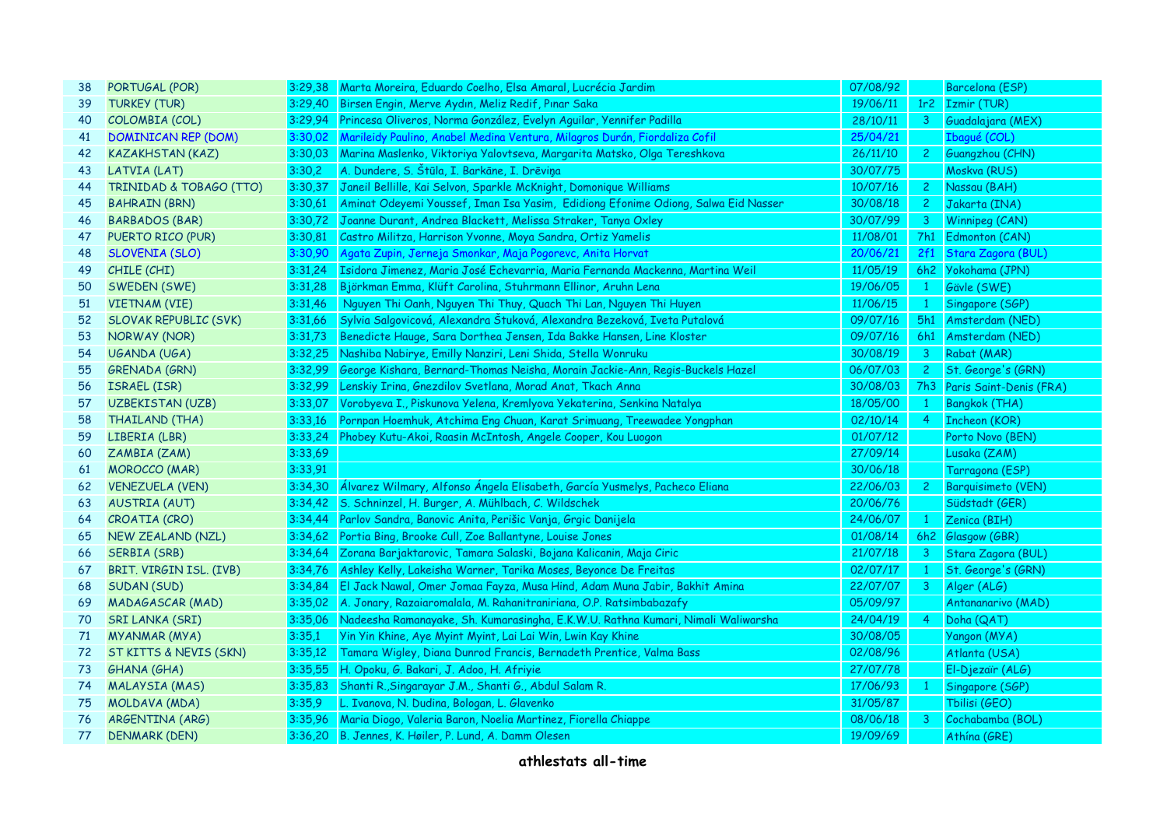| 38 | PORTUGAL (POR)           |         | 3:29,38 Marta Moreira, Eduardo Coelho, Elsa Amaral, Lucrécia Jardim                       | 07/08/92 |                | Barcelona (ESP)             |
|----|--------------------------|---------|-------------------------------------------------------------------------------------------|----------|----------------|-----------------------------|
| 39 | <b>TURKEY (TUR)</b>      |         | 3:29,40 Birsen Engin, Merve Aydın, Meliz Redif, Pınar Saka                                | 19/06/11 |                | 1r2 Izmir (TUR)             |
| 40 | COLOMBIA (COL)           |         | 3:29,94 Princesa Oliveros, Norma González, Evelyn Aguilar, Yennifer Padilla               | 28/10/11 |                | 3 Guadalajara (MEX)         |
| 41 | DOMINICAN REP (DOM)      |         | 3:30,02 Marileidy Paulino, Anabel Medina Ventura, Milagros Durán, Fiordaliza Cofil        | 25/04/21 |                | Ibagué (COL)                |
| 42 | <b>KAZAKHSTAN (KAZ)</b>  |         | 3:30,03 Marina Maslenko, Viktoriya Yalovtseva, Margarita Matsko, Olga Tereshkova          | 26/11/10 | $2^{\circ}$    | Guangzhou (CHN)             |
| 43 | LATVIA (LAT)             | 3:30,2  | A. Dundere, S. Štūla, I. Barkāne, I. Drēviņa                                              | 30/07/75 |                | Moskva (RUS)                |
| 44 | TRINIDAD & TOBAGO (TTO)  |         | 3:30,37 Janeil Bellille, Kai Selvon, Sparkle McKnight, Domonique Williams                 | 10/07/16 | $2 -$          | Nassau (BAH)                |
| 45 | <b>BAHRAIN (BRN)</b>     |         | 3:30,61 Aminat Odeyemi Youssef, Iman Isa Yasim, Edidiong Efonime Odiong, Salwa Eid Nasser | 30/08/18 |                | 2 Jakarta (INA)             |
| 46 | <b>BARBADOS (BAR)</b>    | 3:30,72 | Joanne Durant, Andrea Blackett, Melissa Straker, Tanya Oxley                              | 30/07/99 | 3 <sup>7</sup> | Winnipeg (CAN)              |
| 47 | PUERTO RICO (PUR)        | 3:30.81 | Castro Militza, Harrison Yvonne, Moya Sandra, Ortiz Yamelis                               | 11/08/01 |                | 7h1 Edmonton (CAN)          |
| 48 | SLOVENIA (SLO)           | 3:30.90 | Agata Zupin, Jerneja Smonkar, Maja Pogorevc, Anita Horvat                                 | 20/06/21 |                | 2f1 Stara Zagora (BUL)      |
| 49 | CHILE (CHI)              | 3:31.24 | Isidora Jimenez, Maria José Echevarria, Maria Fernanda Mackenna, Martina Weil             | 11/05/19 |                | 6h2 Yokohama (JPN)          |
| 50 | SWEDEN (SWE)             | 3:31,28 | Björkman Emma, Klüft Carolina, Stuhrmann Ellinor, Aruhn Lena                              | 19/06/05 | $\mathbf{1}$   | Gävle (SWE)                 |
| 51 | <b>VIETNAM (VIE)</b>     | 3:31,46 | Nguyen Thi Oanh, Nguyen Thi Thuy, Quach Thi Lan, Nguyen Thi Huyen                         | 11/06/15 | $\mathbf{1}$   | Singapore (SGP)             |
| 52 | SLOVAK REPUBLIC (SVK)    | 3:31,66 | Sylvia Salgovicová, Alexandra Štuková, Alexandra Bezeková, Iveta Putalová                 | 09/07/16 |                | 5h1 Amsterdam (NED)         |
| 53 | NORWAY (NOR)             |         | 3:31,73 Benedicte Hauge, Sara Dorthea Jensen, Ida Bakke Hansen, Line Kloster              | 09/07/16 |                | 6h1 Amsterdam (NED)         |
| 54 | UGANDA (UGA)             |         | 3:32,25 Nashiba Nabirye, Emilly Nanziri, Leni Shida, Stella Wonruku                       | 30/08/19 |                | 3 Rabat (MAR)               |
| 55 | GRENADA (GRN)            |         | 3:32,99 George Kishara, Bernard-Thomas Neisha, Morain Jackie-Ann, Regis-Buckels Hazel     | 06/07/03 | $2^{\circ}$    | St. George's (GRN)          |
| 56 | ISRAEL (ISR)             | 3:32,99 | Lenskiy Irina, Gnezdilov Svetlana, Morad Anat, Tkach Anna                                 | 30/08/03 |                | 7h3 Paris Saint-Denis (FRA) |
| 57 | UZBEKISTAN (UZB)         | 3:33.07 | Vorobyeva I., Piskunova Yelena, Kremlyova Yekaterina, Senkina Natalya                     | 18/05/00 | $\mathbf{1}$   | Bangkok (THA)               |
| 58 | THAILAND (THA)           | 3:33,16 | Pornpan Hoemhuk, Atchima Eng Chuan, Karat Srimuang, Treewadee Yongphan                    | 02/10/14 | $\overline{4}$ | <b>Incheon (KOR)</b>        |
| 59 | LIBERIA (LBR)            | 3:33,24 | Phobey Kutu-Akoi, Raasin McIntosh, Angele Cooper, Kou Luogon                              | 01/07/12 |                | Porto Novo (BEN)            |
| 60 | ZAMBIA (ZAM)             | 3:33,69 |                                                                                           | 27/09/14 |                | Lusaka (ZAM)                |
| 61 | <b>MOROCCO</b> (MAR)     | 3:33,91 |                                                                                           | 30/06/18 |                | Tarragona (ESP)             |
| 62 | <b>VENEZUELA (VEN)</b>   |         | 3:34,30 Álvarez Wilmary, Alfonso Ángela Elisabeth, García Yusmelys, Pacheco Eliana        | 22/06/03 | $2 -$          | Barquisimeto (VEN)          |
| 63 | <b>AUSTRIA (AUT)</b>     |         | 3:34,42 S. Schninzel, H. Burger, A. Mühlbach, C. Wildschek                                | 20/06/76 |                | Südstadt (GER)              |
| 64 | CROATIA (CRO)            |         | 3:34,44 Parlov Sandra, Banovic Anita, Perišic Vanja, Grgic Danijela                       | 24/06/07 | $\mathbf{1}$   | Zenica (BIH)                |
| 65 | <b>NEW ZEALAND (NZL)</b> |         | 3:34,62 Portia Bing, Brooke Cull, Zoe Ballantyne, Louise Jones                            | 01/08/14 |                | 6h2 Glasgow (GBR)           |
| 66 | SERBIA (SRB)             |         | 3:34,64 Zorana Barjaktarovic, Tamara Salaski, Bojana Kalicanin, Maja Ciric                | 21/07/18 |                | 3 Stara Zagora (BUL)        |
| 67 | BRIT. VIRGIN ISL. (IVB)  | 3:34.76 | Ashley Kelly, Lakeisha Warner, Tarika Moses, Beyonce De Freitas                           | 02/07/17 | $\mathbf{1}$   | St. George's (GRN)          |
| 68 | SUDAN (SUD)              |         | 3:34,84 El Jack Nawal, Omer Jomaa Fayza, Musa Hind, Adam Muna Jabir, Bakhit Amina         | 22/07/07 | 3 <sup>1</sup> | Alger (ALG)                 |
| 69 | <b>MADAGASCAR (MAD)</b>  |         | 3:35,02 A. Jonary, Razaiaromalala, M. Rahanitraniriana, O.P. Ratsimbabazafy               | 05/09/97 |                | Antananarivo (MAD)          |
| 70 | <b>SRI LANKA (SRI)</b>   |         | 3:35,06 Nadeesha Ramanayake, Sh. Kumarasingha, E.K.W.U. Rathna Kumari, Nimali Waliwarsha  | 24/04/19 | $\overline{4}$ | Doha (QAT)                  |
| 71 | <b>MYANMAR (MYA)</b>     | 3:35,1  | Yin Yin Khine, Aye Myint Myint, Lai Lai Win, Lwin Kay Khine                               | 30/08/05 |                | Yangon (MYA)                |
| 72 | ST KITTS & NEVIS (SKN)   | 3:35,12 | Tamara Wigley, Diana Dunrod Francis, Bernadeth Prentice, Valma Bass                       | 02/08/96 |                | Atlanta (USA)               |
| 73 | <b>GHANA (GHA)</b>       | 3:35,55 | H. Opoku, G. Bakari, J. Adoo, H. Afriyie                                                  | 27/07/78 |                | El-Djezaïr (ALG)            |
| 74 | <b>MALAYSIA (MAS)</b>    |         | 3:35,83 Shanti R., Singarayar J.M., Shanti G., Abdul Salam R.                             | 17/06/93 | 1              | Singapore (SGP)             |
| 75 | MOLDAVA (MDA)            | 3:35.9  | L. Ivanova, N. Dudina, Bologan, L. Glavenko                                               | 31/05/87 |                | Tbilisi (GEO)               |
| 76 | ARGENTINA (ARG)          |         | 3:35,96 Maria Diogo, Valeria Baron, Noelia Martinez, Fiorella Chiappe                     | 08/06/18 | 3              | Cochabamba (BOL)            |
| 77 | <b>DENMARK (DEN)</b>     |         | 3:36,20 B. Jennes, K. Høiler, P. Lund, A. Damm Olesen                                     | 19/09/69 |                | Athína (GRE)                |